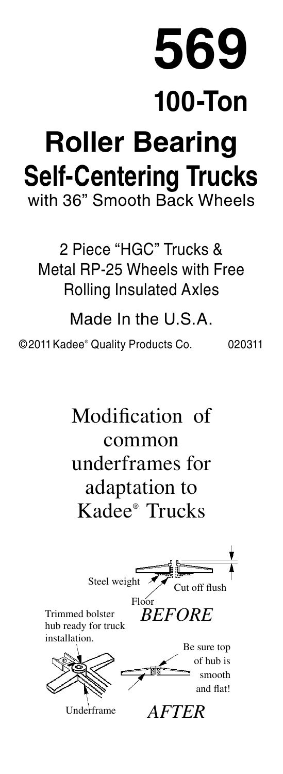## **569 100-Ton Roller Bearing Self-Centering Trucks** with 36" Smooth Back Wheels

2 Piece "HGC" Trucks & Metal RP-25 Wheels with Free Rolling Insulated Axles

Made In the U.S.A.

©2011Kadee® Quality Products Co. 020311

Modification of common underframes for adaptation to Kadee® Trucks